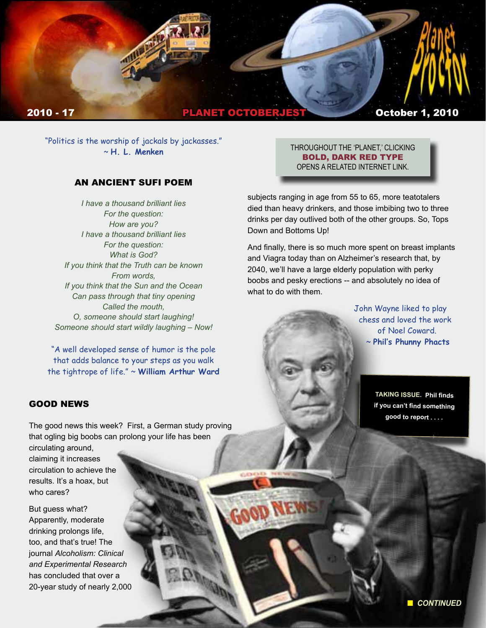

"Politics is the worship of jackals by jackasses." ~ **H. L. Menken**

### AN ANCIENT SUFI POEM

*I have a thousand brilliant lies For the question: How are you? I have a thousand brilliant lies For the question: What is God? If you think that the Truth can be known From words, If you think that the Sun and the Ocean Can pass through that tiny opening Called the mouth, O, someone should start laughing! Someone should start wildly laughing – Now!*

"A well developed sense of humor is the pole that adds balance to your steps as you walk the tightrope of life." ~ **William Arthur Ward** THROUGHOUT THE 'PLANET,' CLICKING BOLD, DARK RED TYPE OPENS A RELATED INTERNET LINK.

subjects ranging in age from 55 to 65, more teatotalers died than heavy drinkers, and those imbibing two to three drinks per day outlived both of the other groups. So, Tops Down and Bottoms Up!

And finally, there is so much more spent on breast implants and Viagra today than on Alzheimer's research that, by 2040, we'll have a large elderly population with perky boobs and pesky erections -- and absolutely no idea of what to do with them.

> John Wayne liked to play chess and loved the work of Noel Coward. ~ **Phil's Phunny Phacts**

> > **TAKING ISSUE. Phil finds if you can't find something good to report . . . .**

## GOOD NEWS

The good news this week? First, a German study proving that ogling big boobs can prolong your life has been circulating around,

claiming it increases circulation to achieve the results. It's a hoax, but who cares?

But guess what? Apparently, moderate drinking prolongs life, too, and that's true! The journal *Alcoholism: Clinical and Experimental Research* has concluded that over a 20-year study of nearly 2,000

**n** CONTINUED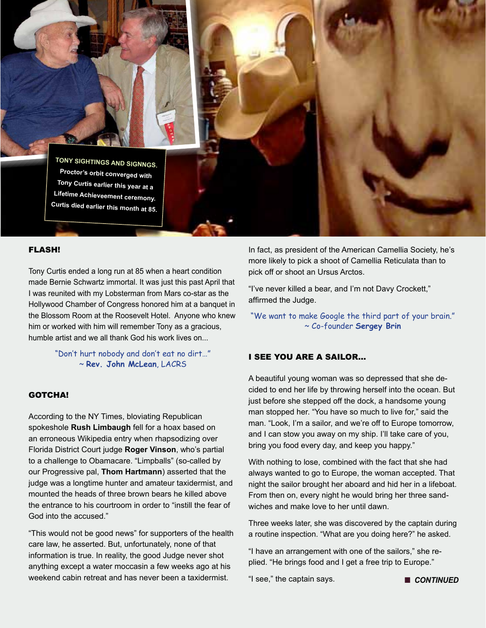

#### FLASH!

Tony Curtis ended a long run at 85 when a heart condition made Bernie Schwartz immortal. It was just this past April that I was reunited with my Lobsterman from Mars co-star as the Hollywood Chamber of Congress honored him at a banquet in the Blossom Room at the Roosevelt Hotel. Anyone who knew him or worked with him will remember Tony as a gracious, humble artist and we all thank God his work lives on...

> "Don't hurt nobody and don't eat no dirt…" ~ **Rev. John McLean**, LACRS

### GOTCHA!

According to the NY Times, bloviating Republican spokeshole **Rush Limbaugh** fell for a hoax based on an erroneous Wikipedia entry when rhapsodizing over Florida District Court judge **Roger Vinson**, who's partial to a challenge to Obamacare. "Limpballs" (so-called by our Progressive pal, **Thom Hartmann**) asserted that the judge was a longtime hunter and amateur taxidermist, and mounted the heads of three brown bears he killed above the entrance to his courtroom in order to "instill the fear of God into the accused."

"This would not be good news" for supporters of the health care law, he asserted. But, unfortunately, none of that information is true. In reality, the good Judge never shot anything except a water moccasin a few weeks ago at his weekend cabin retreat and has never been a taxidermist.

In fact, as president of the American Camellia Society, he's more likely to pick a shoot of Camellia Reticulata than to pick off or shoot an Ursus Arctos.

"I've never killed a bear, and I'm not Davy Crockett," affirmed the Judge.

"We want to make Google the third part of your brain." ~ Co-founder **Sergey Brin**

### I SEE YOU ARE A SAILOR…

A beautiful young woman was so depressed that she decided to end her life by throwing herself into the ocean. But just before she stepped off the dock, a handsome young man stopped her. "You have so much to live for," said the man. "Look, I'm a sailor, and we're off to Europe tomorrow, and I can stow you away on my ship. I'll take care of you, bring you food every day, and keep you happy."

With nothing to lose, combined with the fact that she had always wanted to go to Europe, the woman accepted. That night the sailor brought her aboard and hid her in a lifeboat. From then on, every night he would bring her three sandwiches and make love to her until dawn.

Three weeks later, she was discovered by the captain during a routine inspection. "What are you doing here?" he asked.

"I have an arrangement with one of the sailors," she replied. "He brings food and I get a free trip to Europe."

"I see," the captain says. n *CONTINUED*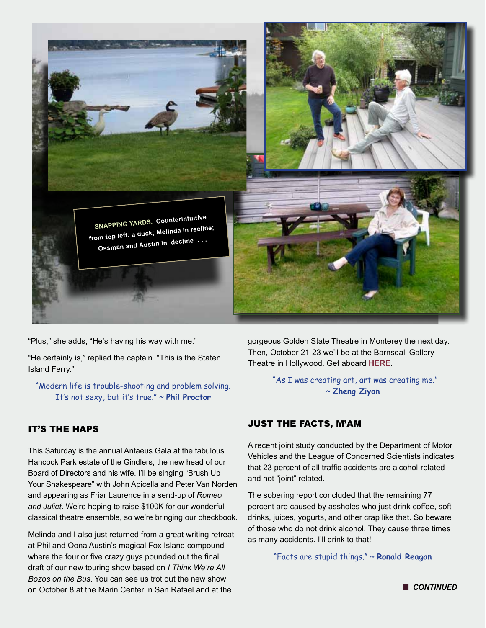

"Plus," she adds, "He's having his way with me."

"He certainly is," replied the captain. "This is the Staten Island Ferry."

"Modern life is trouble-shooting and problem solving. It's not sexy, but it's true." ~ **Phil Proctor**

# IT'S THE HAPS

This Saturday is the annual Antaeus Gala at the fabulous Hancock Park estate of the Gindlers, the new head of our Board of Directors and his wife. I'll be singing "Brush Up Your Shakespeare" with John Apicella and Peter Van Norden and appearing as Friar Laurence in a send-up of *Romeo and Juliet*. We're hoping to raise \$100K for our wonderful classical theatre ensemble, so we're bringing our checkbook.

Melinda and I also just returned from a great writing retreat at Phil and Oona Austin's magical Fox Island compound where the four or five crazy guys pounded out the final draft of our new touring show based on *I Think We're All Bozos on the Bus*. You can see us trot out the new show on October 8 at the Marin Center in San Rafael and at the

gorgeous Golden State Theatre in Monterey the next day. Then, October 21-23 we'll be at the Barnsdall Gallery Theatre in Hollywood. Get aboard **HERE**.

> "As I was creating art, art was creating me." ~ **Zheng Ziyan**

## JUST THE FACTS, M'AM

A recent joint study conducted by the Department of Motor Vehicles and the League of Concerned Scientists indicates that 23 percent of all traffic accidents are alcohol-related and not "joint" related.

The sobering report concluded that the remaining 77 percent are caused by assholes who just drink coffee, soft drinks, juices, yogurts, and other crap like that. So beware of those who do not drink alcohol. They cause three times as many accidents. I'll drink to that!

"Facts are stupid things." ~ **Ronald Reagan**

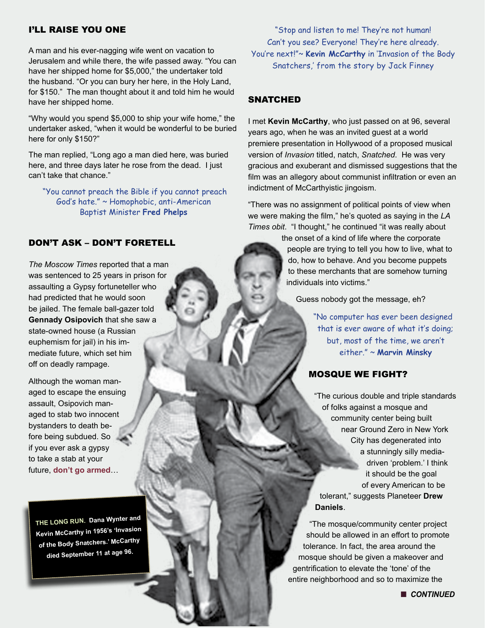## I'LL RAISE YOU ONE

A man and his ever-nagging wife went on vacation to Jerusalem and while there, the wife passed away. "You can have her shipped home for \$5,000," the undertaker told the husband. "Or you can bury her here, in the Holy Land, for \$150." The man thought about it and told him he would have her shipped home.

"Why would you spend \$5,000 to ship your wife home," the undertaker asked, "when it would be wonderful to be buried here for only \$150?"

The man replied, "Long ago a man died here, was buried here, and three days later he rose from the dead. I just can't take that chance."

 "You cannot preach the Bible if you cannot preach God's hate." ~ Homophobic, anti-American Baptist Minister **Fred Phelps**

## DON'T ASK – DON'T FORETELL

*The Moscow Times* reported that a man was sentenced to 25 years in prison for assaulting a Gypsy fortuneteller who had predicted that he would soon be jailed. The female ball-gazer told **Gennady Osipovich** that she saw a state-owned house (a Russian euphemism for jail) in his immediate future, which set him off on deadly rampage.

Although the woman managed to escape the ensuing assault, Osipovich managed to stab two innocent bystanders to death before being subdued. So if you ever ask a gypsy to take a stab at your future, **don't go armed**…

**THE LONG RUN. Dana Wynter an<sup>d</sup> Kevin McCarthy in 1956's 'Invasion of the Body Snatchers.' McCarthy died September 11 at age 96.** 

"Stop and listen to me! They're not human! Can't you see? Everyone! They're here already. You're next!"~ **Kevin McCarthy** in 'Invasion of the Body Snatchers,' from the story by Jack Finney

## **SNATCHED**

I met **Kevin McCarthy**, who just passed on at 96, several years ago, when he was an invited guest at a world premiere presentation in Hollywood of a proposed musical version of *Invasion* titled, natch, *Snatched*. He was very gracious and exuberant and dismissed suggestions that the film was an allegory about communist infiltration or even an indictment of McCarthyistic jingoism.

"There was no assignment of political points of view when we were making the film," he's quoted as saying in the *LA Times obit*. "I thought," he continued "it was really about

> the onset of a kind of life where the corporate people are trying to tell you how to live, what to do, how to behave. And you become puppets to these merchants that are somehow turning individuals into victims."

Guess nobody got the message, eh?

"No computer has ever been designed that is ever aware of what it's doing; but, most of the time, we aren't either." ~ **Marvin Minsky**

## MOSQUE WE FIGHT?

"The curious double and triple standards of folks against a mosque and community center being built near Ground Zero in New York City has degenerated into a stunningly silly mediadriven 'problem.' I think it should be the goal of every American to be tolerant," suggests Planeteer **Drew Daniels**.

"The mosque/community center project should be allowed in an effort to promote tolerance. In fact, the area around the mosque should be given a makeover and gentrification to elevate the 'tone' of the entire neighborhood and so to maximize the

**n** CONTINUED